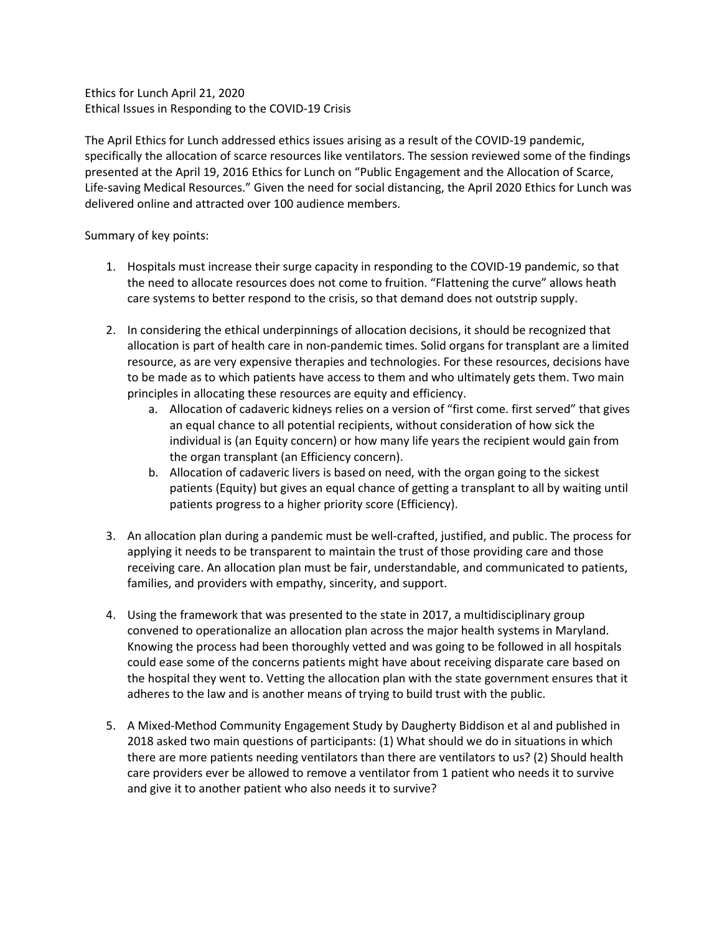Ethics for Lunch April 21, 2020 Ethical Issues in Responding to the COVID-19 Crisis

The April Ethics for Lunch addressed ethics issues arising as a result of the COVID-19 pandemic, specifically the allocation of scarce resources like ventilators. The session reviewed some of the findings presented at the April 19, 2016 Ethics for Lunch on "Public Engagement and the Allocation of Scarce, Life-saving Medical Resources." Given the need for social distancing, the April 2020 Ethics for Lunch was delivered online and attracted over 100 audience members.

Summary of key points:

- 1. Hospitals must increase their surge capacity in responding to the COVID-19 pandemic, so that the need to allocate resources does not come to fruition. "Flattening the curve" allows heath care systems to better respond to the crisis, so that demand does not outstrip supply.
- 2. In considering the ethical underpinnings of allocation decisions, it should be recognized that allocation is part of health care in non-pandemic times. Solid organs for transplant are a limited resource, as are very expensive therapies and technologies. For these resources, decisions have to be made as to which patients have access to them and who ultimately gets them. Two main principles in allocating these resources are equity and efficiency.
	- a. Allocation of cadaveric kidneys relies on a version of "first come. first served" that gives an equal chance to all potential recipients, without consideration of how sick the individual is (an Equity concern) or how many life years the recipient would gain from the organ transplant (an Efficiency concern).
	- b. Allocation of cadaveric livers is based on need, with the organ going to the sickest patients (Equity) but gives an equal chance of getting a transplant to all by waiting until patients progress to a higher priority score (Efficiency).
- 3. An allocation plan during a pandemic must be well-crafted, justified, and public. The process for applying it needs to be transparent to maintain the trust of those providing care and those receiving care. An allocation plan must be fair, understandable, and communicated to patients, families, and providers with empathy, sincerity, and support.
- 4. Using the framework that was presented to the state in 2017, a multidisciplinary group convened to operationalize an allocation plan across the major health systems in Maryland. Knowing the process had been thoroughly vetted and was going to be followed in all hospitals could ease some of the concerns patients might have about receiving disparate care based on the hospital they went to. Vetting the allocation plan with the state government ensures that it adheres to the law and is another means of trying to build trust with the public.
- 5. A Mixed-Method Community Engagement Study by Daugherty Biddison et al and published in 2018 asked two main questions of participants: (1) What should we do in situations in which there are more patients needing ventilators than there are ventilators to us? (2) Should health care providers ever be allowed to remove a ventilator from 1 patient who needs it to survive and give it to another patient who also needs it to survive?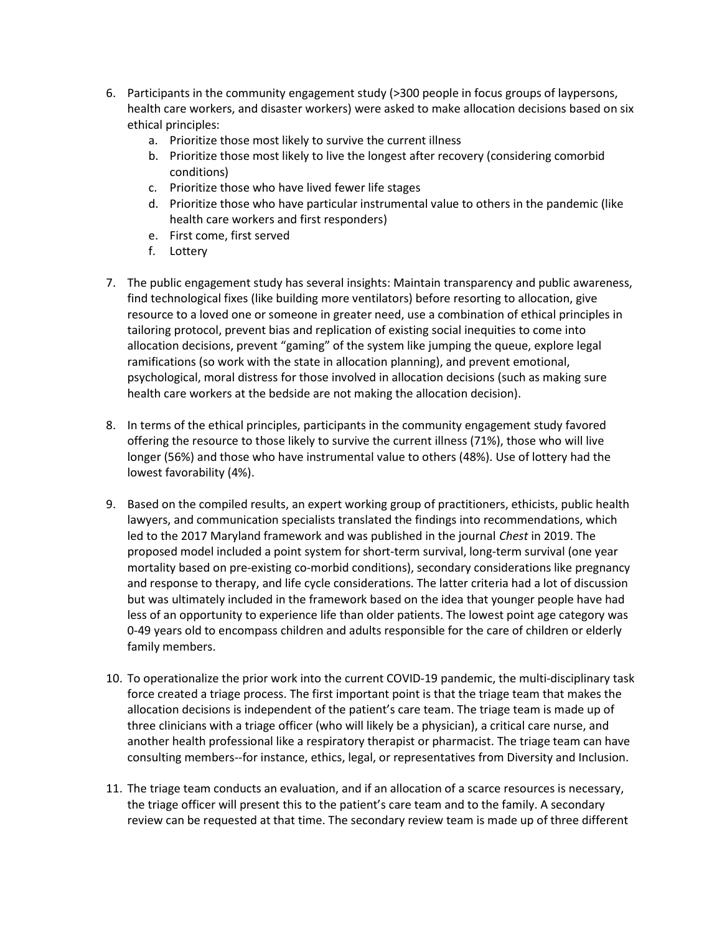- 6. Participants in the community engagement study (>300 people in focus groups of laypersons, health care workers, and disaster workers) were asked to make allocation decisions based on six ethical principles:
	- a. Prioritize those most likely to survive the current illness
	- b. Prioritize those most likely to live the longest after recovery (considering comorbid conditions)
	- c. Prioritize those who have lived fewer life stages
	- d. Prioritize those who have particular instrumental value to others in the pandemic (like health care workers and first responders)
	- e. First come, first served
	- f. Lottery
- 7. The public engagement study has several insights: Maintain transparency and public awareness, find technological fixes (like building more ventilators) before resorting to allocation, give resource to a loved one or someone in greater need, use a combination of ethical principles in tailoring protocol, prevent bias and replication of existing social inequities to come into allocation decisions, prevent "gaming" of the system like jumping the queue, explore legal ramifications (so work with the state in allocation planning), and prevent emotional, psychological, moral distress for those involved in allocation decisions (such as making sure health care workers at the bedside are not making the allocation decision).
- 8. In terms of the ethical principles, participants in the community engagement study favored offering the resource to those likely to survive the current illness (71%), those who will live longer (56%) and those who have instrumental value to others (48%). Use of lottery had the lowest favorability (4%).
- 9. Based on the compiled results, an expert working group of practitioners, ethicists, public health lawyers, and communication specialists translated the findings into recommendations, which led to the 2017 Maryland framework and was published in the journal Chest in 2019. The proposed model included a point system for short-term survival, long-term survival (one year mortality based on pre-existing co-morbid conditions), secondary considerations like pregnancy and response to therapy, and life cycle considerations. The latter criteria had a lot of discussion but was ultimately included in the framework based on the idea that younger people have had less of an opportunity to experience life than older patients. The lowest point age category was 0-49 years old to encompass children and adults responsible for the care of children or elderly family members.
- 10. To operationalize the prior work into the current COVID-19 pandemic, the multi-disciplinary task force created a triage process. The first important point is that the triage team that makes the allocation decisions is independent of the patient's care team. The triage team is made up of three clinicians with a triage officer (who will likely be a physician), a critical care nurse, and another health professional like a respiratory therapist or pharmacist. The triage team can have consulting members--for instance, ethics, legal, or representatives from Diversity and Inclusion.
- 11. The triage team conducts an evaluation, and if an allocation of a scarce resources is necessary, the triage officer will present this to the patient's care team and to the family. A secondary review can be requested at that time. The secondary review team is made up of three different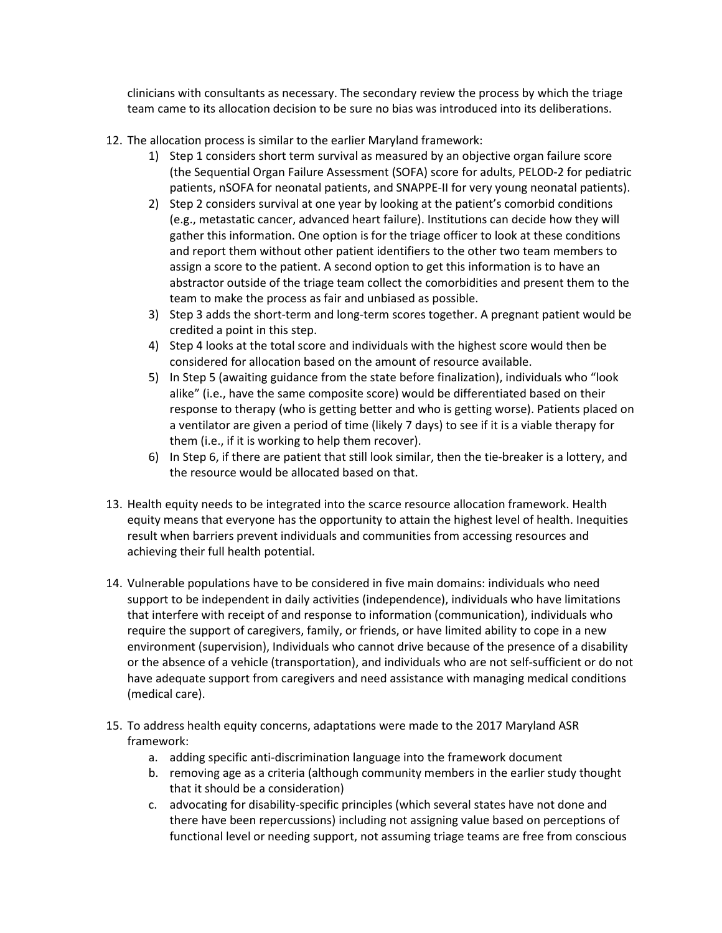clinicians with consultants as necessary. The secondary review the process by which the triage team came to its allocation decision to be sure no bias was introduced into its deliberations.

- 12. The allocation process is similar to the earlier Maryland framework:
	- 1) Step 1 considers short term survival as measured by an objective organ failure score (the Sequential Organ Failure Assessment (SOFA) score for adults, PELOD-2 for pediatric patients, nSOFA for neonatal patients, and SNAPPE-II for very young neonatal patients).
	- 2) Step 2 considers survival at one year by looking at the patient's comorbid conditions (e.g., metastatic cancer, advanced heart failure). Institutions can decide how they will gather this information. One option is for the triage officer to look at these conditions and report them without other patient identifiers to the other two team members to assign a score to the patient. A second option to get this information is to have an abstractor outside of the triage team collect the comorbidities and present them to the team to make the process as fair and unbiased as possible.
	- 3) Step 3 adds the short-term and long-term scores together. A pregnant patient would be credited a point in this step.
	- 4) Step 4 looks at the total score and individuals with the highest score would then be considered for allocation based on the amount of resource available.
	- 5) In Step 5 (awaiting guidance from the state before finalization), individuals who "look alike" (i.e., have the same composite score) would be differentiated based on their response to therapy (who is getting better and who is getting worse). Patients placed on a ventilator are given a period of time (likely 7 days) to see if it is a viable therapy for them (i.e., if it is working to help them recover).
	- 6) In Step 6, if there are patient that still look similar, then the tie-breaker is a lottery, and the resource would be allocated based on that.
- 13. Health equity needs to be integrated into the scarce resource allocation framework. Health equity means that everyone has the opportunity to attain the highest level of health. Inequities result when barriers prevent individuals and communities from accessing resources and achieving their full health potential.
- 14. Vulnerable populations have to be considered in five main domains: individuals who need support to be independent in daily activities (independence), individuals who have limitations that interfere with receipt of and response to information (communication), individuals who require the support of caregivers, family, or friends, or have limited ability to cope in a new environment (supervision), Individuals who cannot drive because of the presence of a disability or the absence of a vehicle (transportation), and individuals who are not self-sufficient or do not have adequate support from caregivers and need assistance with managing medical conditions (medical care).
- 15. To address health equity concerns, adaptations were made to the 2017 Maryland ASR framework:
	- a. adding specific anti-discrimination language into the framework document
	- b. removing age as a criteria (although community members in the earlier study thought that it should be a consideration)
	- c. advocating for disability-specific principles (which several states have not done and there have been repercussions) including not assigning value based on perceptions of functional level or needing support, not assuming triage teams are free from conscious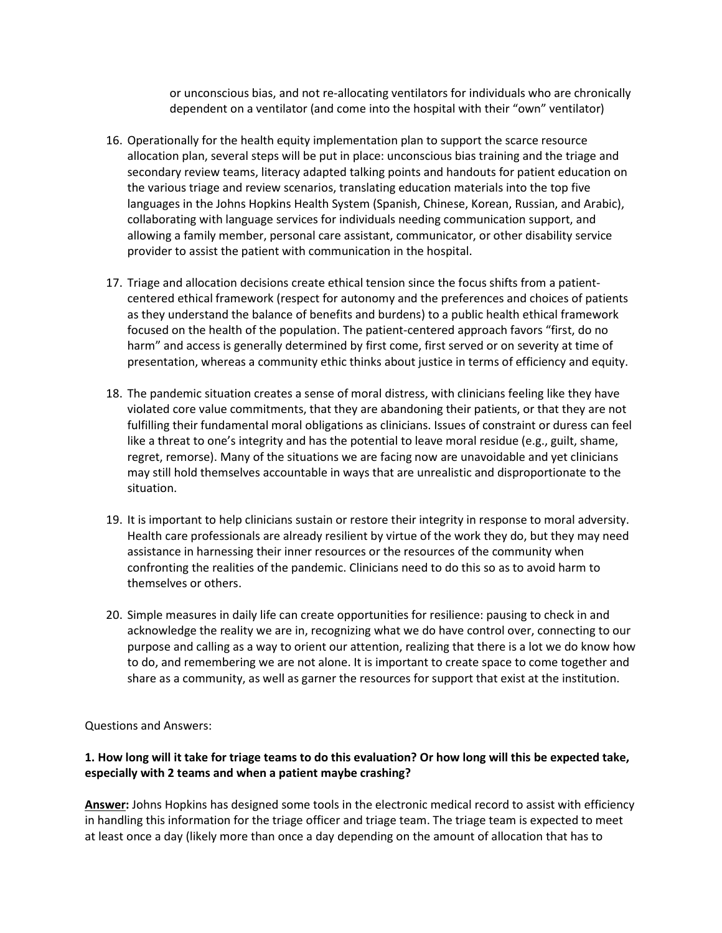or unconscious bias, and not re-allocating ventilators for individuals who are chronically dependent on a ventilator (and come into the hospital with their "own" ventilator)

- 16. Operationally for the health equity implementation plan to support the scarce resource allocation plan, several steps will be put in place: unconscious bias training and the triage and secondary review teams, literacy adapted talking points and handouts for patient education on the various triage and review scenarios, translating education materials into the top five languages in the Johns Hopkins Health System (Spanish, Chinese, Korean, Russian, and Arabic), collaborating with language services for individuals needing communication support, and allowing a family member, personal care assistant, communicator, or other disability service provider to assist the patient with communication in the hospital.
- 17. Triage and allocation decisions create ethical tension since the focus shifts from a patientcentered ethical framework (respect for autonomy and the preferences and choices of patients as they understand the balance of benefits and burdens) to a public health ethical framework focused on the health of the population. The patient-centered approach favors "first, do no harm" and access is generally determined by first come, first served or on severity at time of presentation, whereas a community ethic thinks about justice in terms of efficiency and equity.
- 18. The pandemic situation creates a sense of moral distress, with clinicians feeling like they have violated core value commitments, that they are abandoning their patients, or that they are not fulfilling their fundamental moral obligations as clinicians. Issues of constraint or duress can feel like a threat to one's integrity and has the potential to leave moral residue (e.g., guilt, shame, regret, remorse). Many of the situations we are facing now are unavoidable and yet clinicians may still hold themselves accountable in ways that are unrealistic and disproportionate to the situation.
- 19. It is important to help clinicians sustain or restore their integrity in response to moral adversity. Health care professionals are already resilient by virtue of the work they do, but they may need assistance in harnessing their inner resources or the resources of the community when confronting the realities of the pandemic. Clinicians need to do this so as to avoid harm to themselves or others.
- 20. Simple measures in daily life can create opportunities for resilience: pausing to check in and acknowledge the reality we are in, recognizing what we do have control over, connecting to our purpose and calling as a way to orient our attention, realizing that there is a lot we do know how to do, and remembering we are not alone. It is important to create space to come together and share as a community, as well as garner the resources for support that exist at the institution.

Questions and Answers:

# 1. How long will it take for triage teams to do this evaluation? Or how long will this be expected take, especially with 2 teams and when a patient maybe crashing?

Answer: Johns Hopkins has designed some tools in the electronic medical record to assist with efficiency in handling this information for the triage officer and triage team. The triage team is expected to meet at least once a day (likely more than once a day depending on the amount of allocation that has to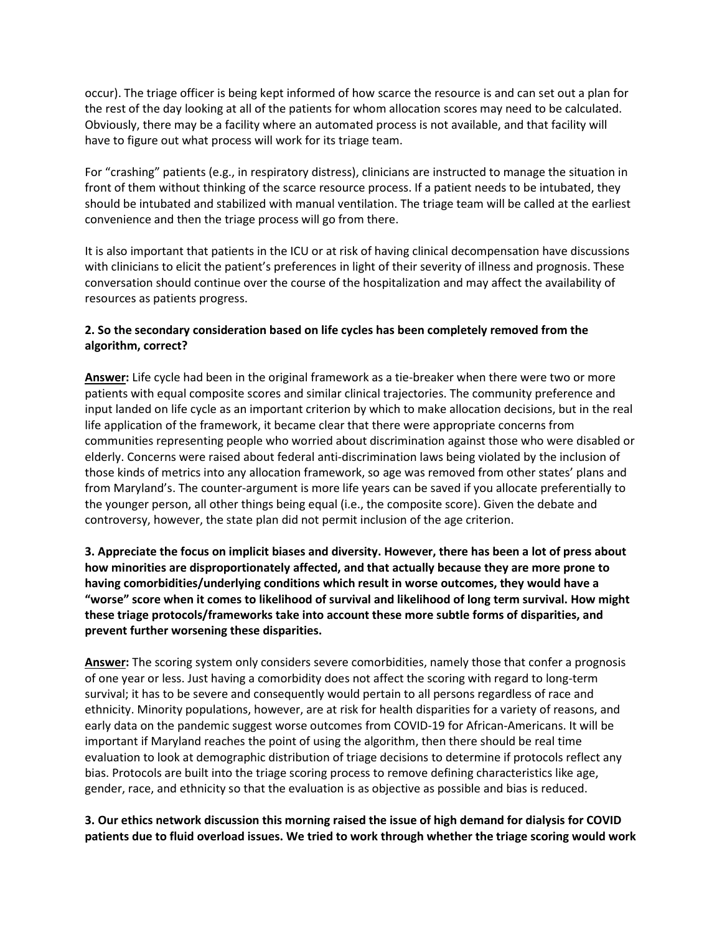occur). The triage officer is being kept informed of how scarce the resource is and can set out a plan for the rest of the day looking at all of the patients for whom allocation scores may need to be calculated. Obviously, there may be a facility where an automated process is not available, and that facility will have to figure out what process will work for its triage team.

For "crashing" patients (e.g., in respiratory distress), clinicians are instructed to manage the situation in front of them without thinking of the scarce resource process. If a patient needs to be intubated, they should be intubated and stabilized with manual ventilation. The triage team will be called at the earliest convenience and then the triage process will go from there.

It is also important that patients in the ICU or at risk of having clinical decompensation have discussions with clinicians to elicit the patient's preferences in light of their severity of illness and prognosis. These conversation should continue over the course of the hospitalization and may affect the availability of resources as patients progress.

## 2. So the secondary consideration based on life cycles has been completely removed from the algorithm, correct?

Answer: Life cycle had been in the original framework as a tie-breaker when there were two or more patients with equal composite scores and similar clinical trajectories. The community preference and input landed on life cycle as an important criterion by which to make allocation decisions, but in the real life application of the framework, it became clear that there were appropriate concerns from communities representing people who worried about discrimination against those who were disabled or elderly. Concerns were raised about federal anti-discrimination laws being violated by the inclusion of those kinds of metrics into any allocation framework, so age was removed from other states' plans and from Maryland's. The counter-argument is more life years can be saved if you allocate preferentially to the younger person, all other things being equal (i.e., the composite score). Given the debate and controversy, however, the state plan did not permit inclusion of the age criterion.

3. Appreciate the focus on implicit biases and diversity. However, there has been a lot of press about how minorities are disproportionately affected, and that actually because they are more prone to having comorbidities/underlying conditions which result in worse outcomes, they would have a "worse" score when it comes to likelihood of survival and likelihood of long term survival. How might these triage protocols/frameworks take into account these more subtle forms of disparities, and prevent further worsening these disparities.

Answer: The scoring system only considers severe comorbidities, namely those that confer a prognosis of one year or less. Just having a comorbidity does not affect the scoring with regard to long-term survival; it has to be severe and consequently would pertain to all persons regardless of race and ethnicity. Minority populations, however, are at risk for health disparities for a variety of reasons, and early data on the pandemic suggest worse outcomes from COVID-19 for African-Americans. It will be important if Maryland reaches the point of using the algorithm, then there should be real time evaluation to look at demographic distribution of triage decisions to determine if protocols reflect any bias. Protocols are built into the triage scoring process to remove defining characteristics like age, gender, race, and ethnicity so that the evaluation is as objective as possible and bias is reduced.

3. Our ethics network discussion this morning raised the issue of high demand for dialysis for COVID patients due to fluid overload issues. We tried to work through whether the triage scoring would work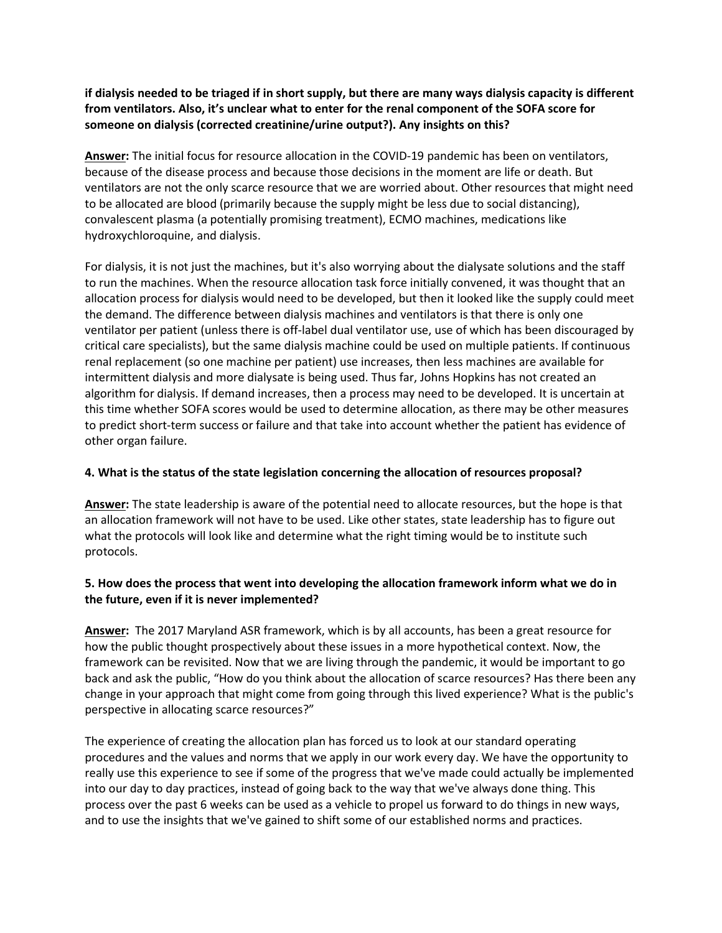if dialysis needed to be triaged if in short supply, but there are many ways dialysis capacity is different from ventilators. Also, it's unclear what to enter for the renal component of the SOFA score for someone on dialysis (corrected creatinine/urine output?). Any insights on this?

Answer: The initial focus for resource allocation in the COVID-19 pandemic has been on ventilators, because of the disease process and because those decisions in the moment are life or death. But ventilators are not the only scarce resource that we are worried about. Other resources that might need to be allocated are blood (primarily because the supply might be less due to social distancing), convalescent plasma (a potentially promising treatment), ECMO machines, medications like hydroxychloroquine, and dialysis.

For dialysis, it is not just the machines, but it's also worrying about the dialysate solutions and the staff to run the machines. When the resource allocation task force initially convened, it was thought that an allocation process for dialysis would need to be developed, but then it looked like the supply could meet the demand. The difference between dialysis machines and ventilators is that there is only one ventilator per patient (unless there is off-label dual ventilator use, use of which has been discouraged by critical care specialists), but the same dialysis machine could be used on multiple patients. If continuous renal replacement (so one machine per patient) use increases, then less machines are available for intermittent dialysis and more dialysate is being used. Thus far, Johns Hopkins has not created an algorithm for dialysis. If demand increases, then a process may need to be developed. It is uncertain at this time whether SOFA scores would be used to determine allocation, as there may be other measures to predict short-term success or failure and that take into account whether the patient has evidence of other organ failure.

#### 4. What is the status of the state legislation concerning the allocation of resources proposal?

Answer: The state leadership is aware of the potential need to allocate resources, but the hope is that an allocation framework will not have to be used. Like other states, state leadership has to figure out what the protocols will look like and determine what the right timing would be to institute such protocols.

#### 5. How does the process that went into developing the allocation framework inform what we do in the future, even if it is never implemented?

Answer: The 2017 Maryland ASR framework, which is by all accounts, has been a great resource for how the public thought prospectively about these issues in a more hypothetical context. Now, the framework can be revisited. Now that we are living through the pandemic, it would be important to go back and ask the public, "How do you think about the allocation of scarce resources? Has there been any change in your approach that might come from going through this lived experience? What is the public's perspective in allocating scarce resources?"

The experience of creating the allocation plan has forced us to look at our standard operating procedures and the values and norms that we apply in our work every day. We have the opportunity to really use this experience to see if some of the progress that we've made could actually be implemented into our day to day practices, instead of going back to the way that we've always done thing. This process over the past 6 weeks can be used as a vehicle to propel us forward to do things in new ways, and to use the insights that we've gained to shift some of our established norms and practices.